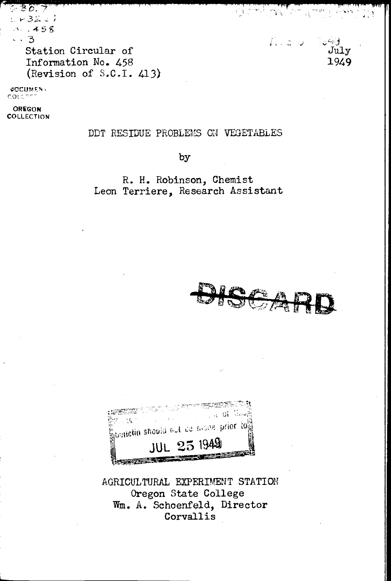しどうひこり  $3.458$ Station Circular of Information No. 458 (Revision of S.C.I. 413)

**CCUMENT** ית נמד

OREGON COLLECTION

### DDT RESIDUE PROBLEMS ON VEGETABLES

by

R. H. Robinson, Chemist Leon Terriere, Research Assistant





AGRICULTURAL EXPERIMENT STATION Oregon State College Wm. A. Schoenfeld, Director Corvallis

 $L_{\rm{max}}$ الأناش July 1949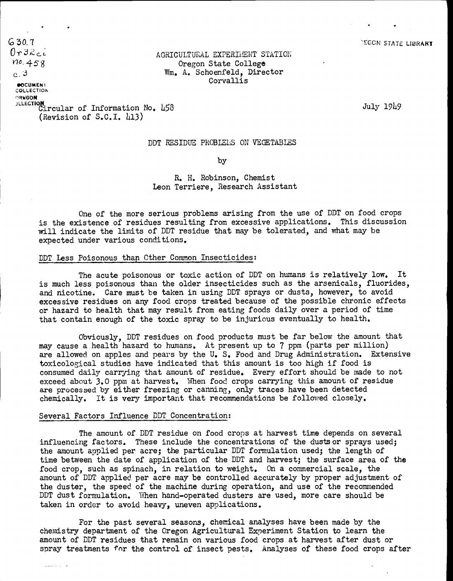$630.7$ <br> $0$ r  $32$ ci  $10.458$  $0<sup>3</sup>$ 

# AGRICULTURAL EXPERIMENT STATION Oregon State College Wm. A. Schoenfeld, Director Corvallis

**DOCUMEN1** COLLECTION ORKGON **Andre State State** Circular of Information No. 458 (Revision of S.C.I.  $\mu$ 13)

July l9L9

### DDT RESIDUE PROBLEiS ON VEGETABLES

by

R. H. Robinson, Chemist Leon Terriere, Research Assistant

One of the more serious problems arising from the use of DDT on food crops is the existence of residues resulting from excessive applications. This discussion will indicate the limits of DDT residue that may be tolerated, and what may be expected under various conditions.

#### DDT Less Poisonous than Other Common Insecticides:

The acute poisonous or toxic action of DDT on humans is relatively low. It is much less poisonous than the older insecticides such as the arsenicals, fluorides, and nicotine. Care must be taken in using DDT sprays or dusts, however, to avoid excessive residues on any food crops treated because of the possible chronic effects or hazard to health that may result from eating foods daily over a period of time that contain enough of the toxic spray to be injurious eventually to health.

Obviously, DDT residues on food products must be far below the amount that may cause a health hazard to humans, At present up to 7 ppm (parts per million) are allowed on apples and pears by the U. S. Food and Drug Administration. Extensive toxicological studies have indicated that this amount is too high if food is consumed daily carrying that amount of residue. Every effort should be made to not exceed about 3.0 ppm at harvest. When food crops carrying this amount of residue are processed by either freezing or canning, only traces have been detected chemically. It is very important that recommendations be followed closely.

### Several Factors Influence DDT Concentration:

The amount of DDT residue on food crops at harvest time depends on several influencing factors. These include the concentrations of the dusts or sprays used; the amount applied per acre; the particular DDT formulation used; the length of time between the date of application of the DDT and harvest; the surface area of the food crop, such as spinach, in relation to weight. On a commercial scale, the amount of DDT applied per acre may be controlled accurately by proper adjustment of the duster, the speed of the machine during operation, and use of the recommended DDT dust formulation. When hand-operated dusters are used, more care should be taken in order to avoid heavy, uneven applications.

For the past several seasons, chemical analyses have been made by the chemistry department of the Oregon Agricultural Experiment Station to learn the amount of DDT residues that remain on various food crops at harvest after dust or spray treatments for the control of insect pests. Analyses of these food crops after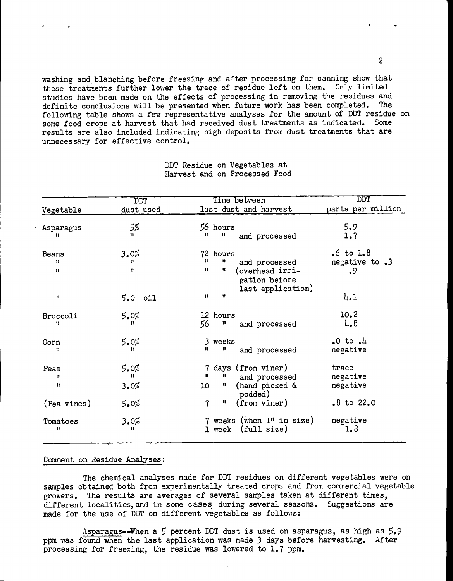washing and blanching before freezing and after processing for canning show that these treatments further lower the trace of residue left on them. Only limited studies have been made on the effects of processing in removing the residues and definite conclusions will be presented when future work has been completed. The following table shows a few representative analyses for the amount of DDT residue on some food crops at harvest that had received dust treatments as indicated. Some results are also included indicating high deposits from dust treatments that are unnecessary for effective control.

|                           | DDT.              | Time between                                                                                                      | $\overline{\text{DDT}}$                      |
|---------------------------|-------------------|-------------------------------------------------------------------------------------------------------------------|----------------------------------------------|
| Vegetable                 | dust used         | last dust and harvest                                                                                             | parts per million                            |
| Asparagus<br>Ħ            | 5%<br>11          | 56 hours<br>Ħ<br>11.<br>and processed                                                                             | 5.9<br>1.7                                   |
| Beans<br>11<br>Ħ          | 3.0%<br>11<br>11  | 72 hours<br>$\mathbf{H}$<br>u<br>and processed<br>n<br>Ħ<br>(overhead irri-<br>gation before<br>last application) | $.6 \text{ to } 1.8$<br>negative to .3<br>.9 |
| 11                        | $5.0$ $0i1$       | $\mathbf{u}$<br>$\mathbf{H}$                                                                                      | 4.1                                          |
| Broccoli<br>11            | 5.0%<br>n         | 12 hours<br>56<br>$\mathbf{H}$<br>and processed                                                                   | 10.2<br>$\mu_{\bullet}$ 8                    |
| Corn<br>11                | $5.0\%$<br>11     | 3 weeks<br>$\mathbf{H}$<br>11.<br>and processed                                                                   | $.0$ to $.1$<br>negative                     |
| Peas<br>n<br>$\mathbf{u}$ | 5.0%<br>Ħ<br>3.0% | days (from viner)<br>$\overline{7}$<br>11<br>n<br>and processed<br>u<br>(hand picked &<br>10                      | trace<br>negative<br>negative                |
| (Pea vines)               | $5.0\%$           | podded)<br>$\overline{\mathbf{r}}$<br>n<br>(from viner)                                                           | $.8$ to 22.0                                 |
| Tomatoes<br>n             | 3.0%<br>n         | $7$ weeks (when $1$ " in size)<br>(full size)<br>1 week                                                           | negative<br>1,8                              |

DDT Residue on Vegetables at Harvest and on Processed Food

## Comment on Residue Analyses;

The chemical analyses made for DDT residues on different vegetables were on samples obtained both from experimentally treated crops and from commercial vegetable growers. The results are averages of several samples taken at different times, different localities, and in some cases during several seasons. Suggestions are made for the use of DDT on different vegetables as follows:

Asparagus--lNhen a 5 percent DDT dust is used on asparagus, as high as 5.9 ppm was found when the last application was made 3 days before harvesting. After processing for freezing, the residue was lowered to 1.7 ppm.